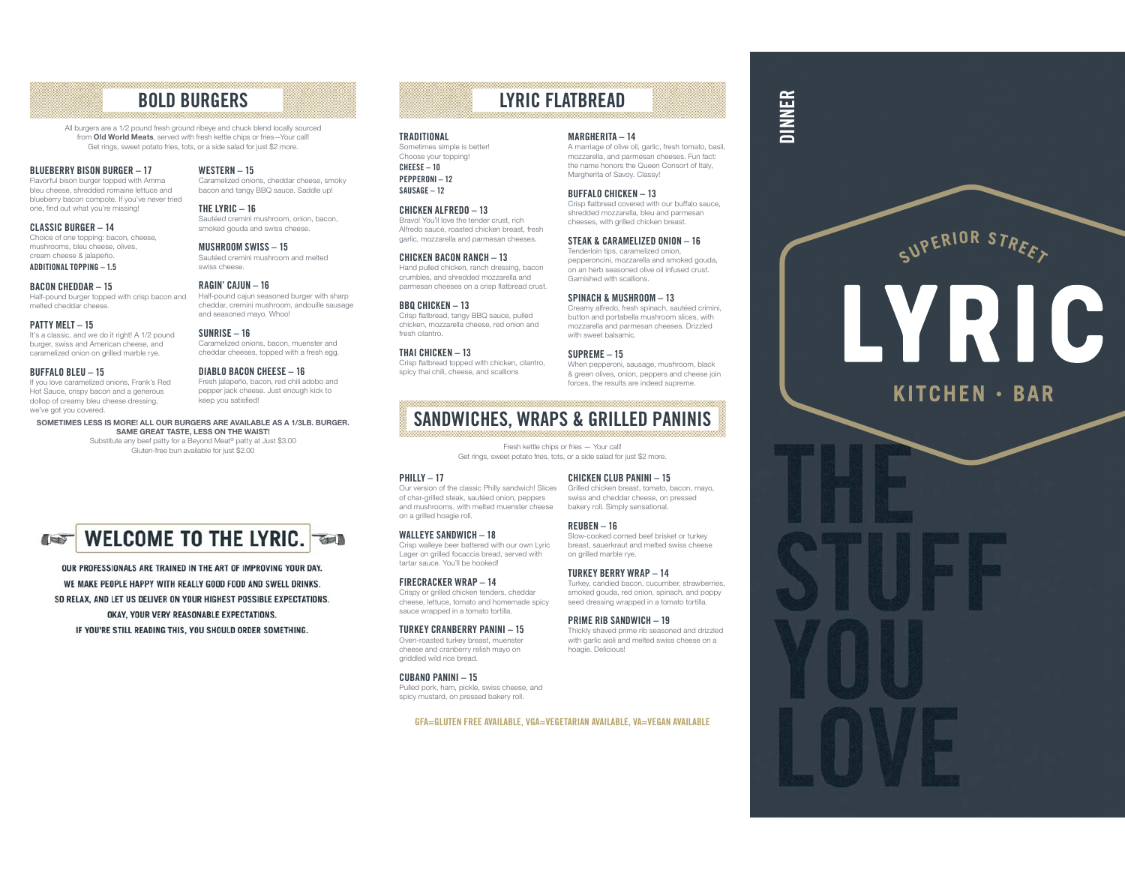# BOLD BURGERS

All burgers are a 1/2 pound fresh ground ribeye and chuck blend locally sourced from Old World Meats, served with fresh kettle chips or fries—Your call! Get rings, sweet potato fries, tots, or a side salad for just \$2 more.

WESTERN – 15

THE LYRIC – 16

swiss cheese.RAGIN' CAJUN – 16

and seasoned mayo. Whoo! SUNRISE – 16

### BLUEBERRY BISON BURGER – 17

 Flavorful bison burger topped with Amma bleu cheese, shredded romaine lettuce and blueberry bacon compote. If you've never tried one, find out what you're missing!

CLASSIC BURGER – 14 Choice of one topping: bacon, cheese, mushrooms, bleu cheese, olives, cream cheese & jalapeño. ADDITIONAL TOPPING – 1.5

BACON CHEDDAR – 15 Half-pound burger topped with crisp bacon and melted cheddar cheese.

### PATTY MELT - 15

 It's a classic, and we do it right! A 1/2 pound burger, swiss and American cheese, and caramelized onion on grilled marble rye.

### BUFFALO BLEU – 15

 If you love caramelized onions, Frank's Red Hot Sauce, crispy bacon and a generous dollop of creamy bleu cheese dressing, we've got you covered.

DIABLO BACON CHEESE – 16 Fresh jalapeño, bacon, red chili adobo and pepper jack cheese. Just enough kick to keep you satisfied!

Caramelized onions, bacon, muenster and cheddar cheeses, topped with a fresh egg.

 Caramelized onions, cheddar cheese, smoky bacon and tangy BBQ sauce. Saddle up!

 Sautéed cremini mushroom, onion, bacon, smoked gouda and swiss cheese. MUSHROOM SWISS – 15 Sautéed cremini mushroom and melted

 Half-pound cajun seasoned burger with sharp cheddar, cremini mushroom, andouille sausage

### SOMETIMES LESS IS MORE! ALL OUR BURGERS ARE AVAILABLE AS A 1/3LB. BURGER. SAME GREAT TASTE, LESS ON THE WAIST! Substitute any beef patty for a Beyond Meat® patty at Just \$3.00

Gluten-free bun available for just \$2.00



OUR PROFESSIONALS ARE TRAINED IN THE ART OF IMPROVING YOUR DAY. WE MAKE PEOPLE HAPPY WITH REALLY GOOD FOOD AND SWELL DRINKS. SO RELAX, AND LET US DELIVER ON YOUR HIGHEST POSSIBLE EXPECTATIONS. OKAY, YOUR VERY REASONABLE EXPECTATIONS. IF YOU'RE STILL READING THIS, YOU SHOULD ORDER SOMETHING.

# LYRIC FLATBREAD

### TRADITIONAL

 Sometimes simple is better! Choose your topping! CHEESE – 10 PEPPERONI – 12 SAUSAGE – 12

### CHICKEN ALFREDO – 13 Bravo! You'll love the tender crust, rich Alfredo sauce, roasted chicken breast, fresh

CHICKEN BACON RANCH – 13 Hand pulled chicken, ranch dressing, bacon crumbles, and shredded mozzarella and parmesan cheeses on a crisp flatbread crust.

garlic, mozzarella and parmesan cheeses.

### BBQ CHICKEN – 13 Crisp flatbread, tangy BBQ sauce, pulled chicken, mozzarella cheese, red onion and fresh cilantro.

THAI CHICKEN – 13 Crisp flatbread topped with chicken, cilantro, spicy thai chili, cheese, and scallions

Fresh kettle chips or fries — Your call!

### PHILLY – 17

 Our version of the classic Philly sandwich! Slices of char-grilled steak, sautéed onion, peppers and mushrooms, with melted muenster cheese on a grilled hoagie roll.

WALLEYE SANDWICH - 18 Crisp walleye beer battered with our own Lyric Lager on grilled focaccia bread, served with tartar sauce. You'll be hooked!

### FIRECRACKER WRAP – 14 Crispy or grilled chicken tenders, cheddar cheese, lettuce, tomato and homemade spicy sauce wrapped in a tomato tortilla.

TURKEY CRANBERRY PANINI – 15 Oven-roasted turkey breast, muenster cheese and cranberry relish mayo on griddled wild rice bread.

CUBANO PANINI – 15 Pulled pork, ham, pickle, swiss cheese, and spicy mustard, on pressed bakery roll.

### GFA=GLUTEN FREE AVAILABLE, VGA=VEGETARIAN AVAILABLE, VA=VEGAN AVAILABLE

# DINNER

 A marriage of olive oil, garlic, fresh tomato, basil, mozzarella, and parmesan cheeses. Fun fact: the name honors the Queen Consort of Italy, Margherita of Savoy. Classy!

BUFFALO CHICKEN – 13

MARGHERITA – 14

 Crisp flatbread covered with our buffalo sauce, shredded mozzarella, bleu and parmesan cheeses, with grilled chicken breast.

STEAK & CARAMELIZED ONION – 16 Tenderloin tips, caramelized onion, pepperoncini, mozzarella and smoked gouda, on an herb seasoned olive oil infused crust.

### SPINACH & MUSHROOM – 13

Garnished with scallions.

 Creamy alfredo, fresh spinach, sautéed crimini, button and portabella mushroom slices, with mozzarella and parmesan cheeses. Drizzled with sweet halsamic

SUPREME – 15 When pepperoni, sausage, mushroom, black & green olives, onion, peppers and cheese join forces, the results are indeed supreme.

# SANDWICHES, WRAPS & GRILLED PANINIS

CHICKEN CLUB PANINI – 15

Get rings, sweet potato fries, tots, or a side salad for just \$2 more.

Grilled chicken breast, tomato, bacon, mayo, swiss and cheddar cheese, on pressed bakery roll. Simply sensational.

REUBEN – 16 Slow-cooked corned beef brisket or turkey breast, sauerkraut and melted swiss cheese on grilled marble rye.

> TURKEY BERRY WRAP – 14 Turkey, candied bacon, cucumber, strawberries, smoked gouda, red onion, spinach, and poppy seed dressing wrapped in a tomato tortilla.

PRIME RIB SANDWICH – 19 Thickly shaved prime rib seasoned and drizzled with garlic aioli and melted swiss cheese on a hoagie. Delicious!



# LYRIC

# **KITCHEN · BAR**